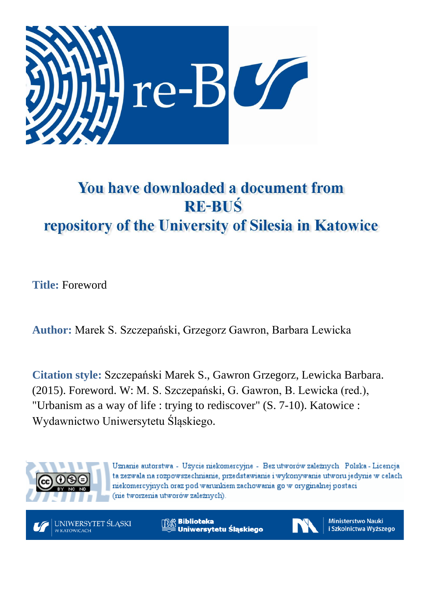

## You have downloaded a document from **RE-BUŚ** repository of the University of Silesia in Katowice

**Title:** Foreword

**Author:** Marek S. Szczepański, Grzegorz Gawron, Barbara Lewicka

**Citation style:** Szczepański Marek S., Gawron Grzegorz, Lewicka Barbara. (2015). Foreword. W: M. S. Szczepański, G. Gawron, B. Lewicka (red.), "Urbanism as a way of life : trying to rediscover" (S. 7-10). Katowice : Wydawnictwo Uniwersytetu Śląskiego.



Uznanie autorstwa - Użycie niekomercyjne - Bez utworów zależnych Polska - Licencja ta zezwala na rozpowszechnianie, przedstawianie i wykonywanie utworu jedynie w celach niekomercyjnych oraz pod warunkiem zachowania go w oryginalnej postaci (nie tworzenia utworów zależnych).



**Biblioteka** Uniwersytetu Ślaskiego



**Ministerstwo Nauki** i Szkolnictwa Wyższego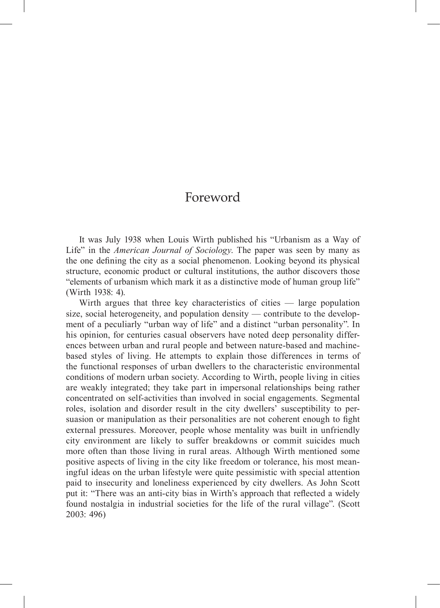## Foreword

It was July 1938 when Louis Wirth published his "Urbanism as a Way of Life" in the *American Journal of Sociology*. The paper was seen by many as the one defining the city as a social phenomenon. Looking beyond its physical structure, economic product or cultural institutions, the author discovers those "elements of urbanism which mark it as a distinctive mode of human group life" (Wirth 1938: 4).

Wirth argues that three key characteristics of cities — large population size, social heterogeneity, and population density — contribute to the development of a peculiarly "urban way of life" and a distinct "urban personality". In his opinion, for centuries casual observers have noted deep personality differences between urban and rural people and between nature-based and machinebased styles of living. He attempts to explain those differences in terms of the functional responses of urban dwellers to the characteristic environmental conditions of modern urban society. According to Wirth, people living in cities are weakly integrated; they take part in impersonal relationships being rather concentrated on self-activities than involved in social engagements. Segmental roles, isolation and disorder result in the city dwellers' susceptibility to persuasion or manipulation as their personalities are not coherent enough to fight external pressures. Moreover, people whose mentality was built in unfriendly city environment are likely to suffer breakdowns or commit suicides much more often than those living in rural areas. Although Wirth mentioned some positive aspects of living in the city like freedom or tolerance, his most meaningful ideas on the urban lifestyle were quite pessimistic with special attention paid to insecurity and loneliness experienced by city dwellers. As John Scott put it: "There was an anti-city bias in Wirth's approach that reflected a widely found nostalgia in industrial societies for the life of the rural village". (Scott 2003: 496)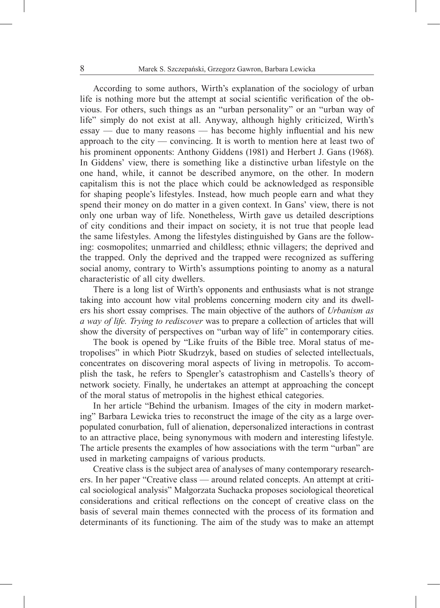According to some authors, Wirth's explanation of the sociology of urban life is nothing more but the attempt at social scientific verification of the obvious. For others, such things as an "urban personality" or an "urban way of life" simply do not exist at all. Anyway, although highly criticized, Wirth's essay — due to many reasons — has become highly influential and his new approach to the city — convincing. It is worth to mention here at least two of his prominent opponents: Anthony Giddens (1981) and Herbert J. Gans (1968). In Giddens' view, there is something like a distinctive urban lifestyle on the one hand, while, it cannot be described anymore, on the other. In modern capitalism this is not the place which could be acknowledged as responsible for shaping people's lifestyles. Instead, how much people earn and what they spend their money on do matter in a given context. In Gans' view, there is not only one urban way of life. Nonetheless, Wirth gave us detailed descriptions of city conditions and their impact on society, it is not true that people lead the same lifestyles. Among the lifestyles distinguished by Gans are the following: cosmopolites; unmarried and childless; ethnic villagers; the deprived and the trapped. Only the deprived and the trapped were recognized as suffering social anomy, contrary to Wirth's assumptions pointing to anomy as a natural characteristic of all city dwellers.

There is a long list of Wirth's opponents and enthusiasts what is not strange taking into account how vital problems concerning modern city and its dwellers his short essay comprises. The main objective of the authors of *Urbanism as a way of life. Trying to rediscover* was to prepare a collection of articles that will show the diversity of perspectives on "urban way of life" in contemporary cities.

The book is opened by "Like fruits of the Bible tree. Moral status of metropolises" in which Piotr Skudrzyk, based on studies of selected intellectuals, concentrates on discovering moral aspects of living in metropolis. To accomplish the task, he refers to Spengler's catastrophism and Castells's theory of network society. Finally, he undertakes an attempt at approaching the concept of the moral status of metropolis in the highest ethical categories.

In her article "Behind the urbanism. Images of the city in modern marketing" Barbara Lewicka tries to reconstruct the image of the city as a large overpopulated conurbation, full of alienation, depersonalized interactions in contrast to an attractive place, being synonymous with modern and interesting lifestyle. The article presents the examples of how associations with the term "urban" are used in marketing campaigns of various products.

Creative class is the subject area of analyses of many contemporary researchers. In her paper "Creative class — around related concepts. An attempt at critical sociological analysis" Małgorzata Suchacka proposes sociological theoretical considerations and critical reflections on the concept of creative class on the basis of several main themes connected with the process of its formation and determinants of its functioning. The aim of the study was to make an attempt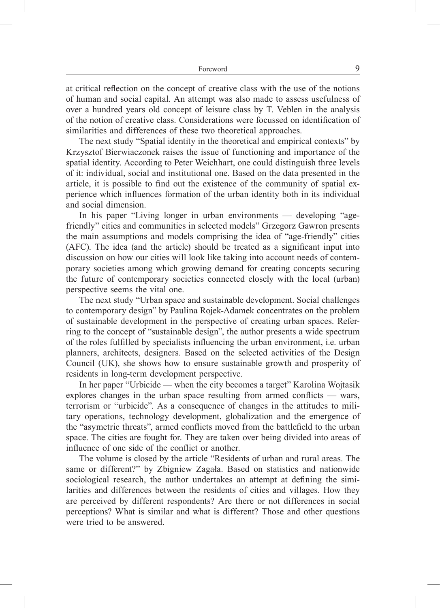at critical reflection on the concept of creative class with the use of the notions of human and social capital. An attempt was also made to assess usefulness of over a hundred years old concept of leisure class by T. Veblen in the analysis of the notion of creative class. Considerations were focussed on identification of similarities and differences of these two theoretical approaches.

The next study "Spatial identity in the theoretical and empirical contexts" by Krzysztof Bierwiaczonek raises the issue of functioning and importance of the spatial identity. According to Peter Weichhart, one could distinguish three levels of it: individual, social and institutional one. Based on the data presented in the article, it is possible to find out the existence of the community of spatial experience which influences formation of the urban identity both in its individual and social dimension.

In his paper "Living longer in urban environments — developing "agefriendly" cities and communities in selected models" Grzegorz Gawron presents the main assumptions and models comprising the idea of "age-friendly" cities (AFC). The idea (and the article) should be treated as a significant input into discussion on how our cities will look like taking into account needs of contemporary societies among which growing demand for creating concepts securing the future of contemporary societies connected closely with the local (urban) perspective seems the vital one.

The next study "Urban space and sustainable development. Social challenges to contemporary design" by Paulina Rojek-Adamek concentrates on the problem of sustainable development in the perspective of creating urban spaces. Referring to the concept of "sustainable design", the author presents a wide spectrum of the roles fulfilled by specialists influencing the urban environment, i.e. urban planners, architects, designers. Based on the selected activities of the Design Council (UK), she shows how to ensure sustainable growth and prosperity of residents in long-term development perspective.

In her paper "Urbicide — when the city becomes a target" Karolina Wojtasik explores changes in the urban space resulting from armed conflicts — wars, terrorism or "urbicide". As a consequence of changes in the attitudes to military operations, technology development, globalization and the emergence of the "asymetric threats", armed conflicts moved from the battlefield to the urban space. The cities are fought for. They are taken over being divided into areas of influence of one side of the conflict or another.

The volume is closed by the article "Residents of urban and rural areas. The same or different?" by Zbigniew Zagała. Based on statistics and nationwide sociological research, the author undertakes an attempt at defining the similarities and differences between the residents of cities and villages. How they are perceived by different respondents? Are there or not differences in social perceptions? What is similar and what is different? Those and other questions were tried to be answered.